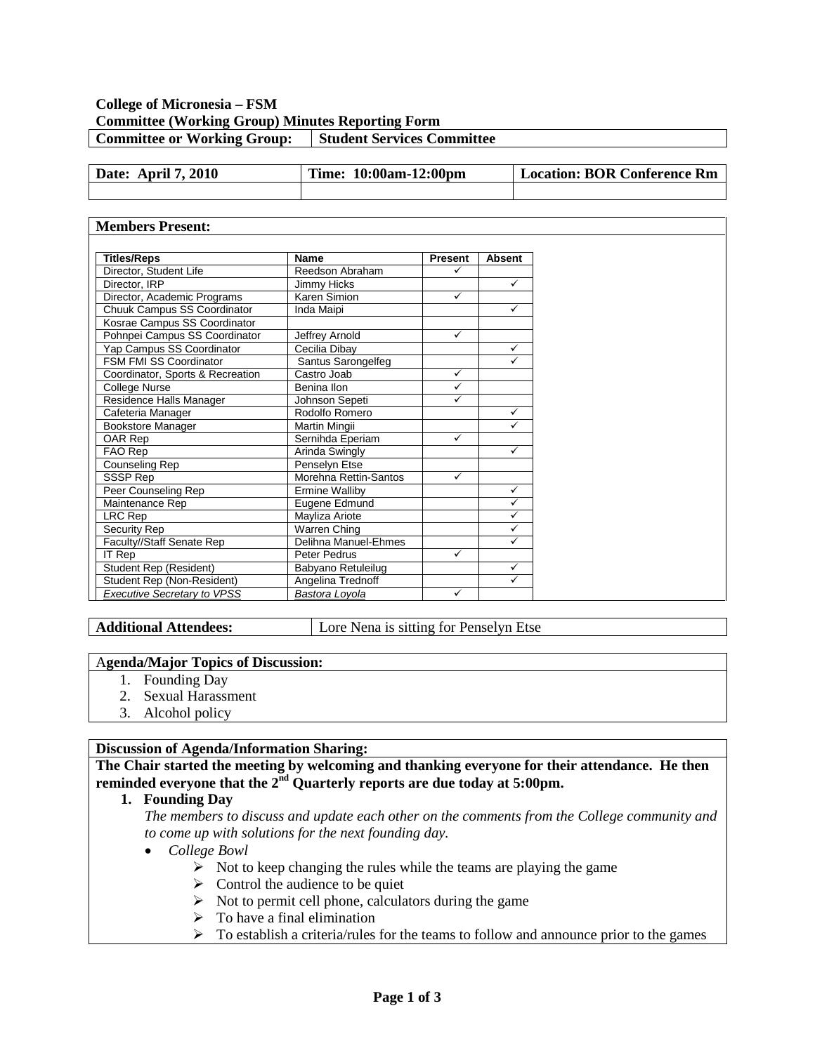## **College of Micronesia – FSM Committee (Working Group) Minutes Reporting Form Committee or Working Group:** Student Services Committee

| <b>April 7, 2010</b><br>Date: | Time: 1<br>$10:00am-12:00pm$ | Location: BOR Conference Rm |
|-------------------------------|------------------------------|-----------------------------|
|                               |                              |                             |

## **Members Present:**

| <b>Titles/Reps</b>                 | <b>Name</b>                    |                                 |              |
|------------------------------------|--------------------------------|---------------------------------|--------------|
|                                    |                                | <b>Absent</b><br><b>Present</b> |              |
| Director, Student Life             | ✓<br>Reedson Abraham           |                                 |              |
| Director, IRP                      | $\checkmark$<br>Jimmy Hicks    |                                 |              |
| Director, Academic Programs        |                                | ✓<br>Karen Simion               |              |
| Chuuk Campus SS Coordinator        | Inda Maipi                     | $\checkmark$                    |              |
| Kosrae Campus SS Coordinator       |                                |                                 |              |
| Pohnpei Campus SS Coordinator      | Jeffrey Arnold                 | $\checkmark$                    |              |
| Yap Campus SS Coordinator          | Cecilia Dibay                  |                                 | $\checkmark$ |
| FSM FMI SS Coordinator             | Santus Sarongelfeg             | $\checkmark$                    |              |
| Coordinator, Sports & Recreation   | Castro Joab                    | ✓                               |              |
| College Nurse                      | ✓<br>Benina Ilon               |                                 |              |
| Residence Halls Manager            | Johnson Sepeti<br>✓            |                                 |              |
| Cafeteria Manager                  | $\checkmark$<br>Rodolfo Romero |                                 |              |
| <b>Bookstore Manager</b>           | Martin Mingii                  | ✓                               |              |
| OAR Rep                            | Sernihda Eperiam               | ✓                               |              |
| FAO Rep                            | Arinda Swingly                 | $\checkmark$                    |              |
| Counseling Rep                     | Penselyn Etse                  |                                 |              |
| SSSP Rep                           | Morehna Rettin-Santos          | ✓                               |              |
| Peer Counseling Rep                | <b>Ermine Walliby</b>          |                                 | $\checkmark$ |
| Maintenance Rep                    | Eugene Edmund                  |                                 | $\checkmark$ |
| LRC Rep                            | $\checkmark$<br>Mayliza Ariote |                                 |              |
| Security Rep                       | Warren Ching                   |                                 | $\checkmark$ |
| Faculty//Staff Senate Rep          | Delihna Manuel-Ehmes           |                                 | $\checkmark$ |
| <b>IT Rep</b>                      | Peter Pedrus                   | ✓                               |              |
| Student Rep (Resident)             | Babyano Retuleilug             |                                 | $\checkmark$ |
| Student Rep (Non-Resident)         | Angelina Trednoff              |                                 | $\checkmark$ |
| <b>Executive Secretary to VPSS</b> | Bastora Loyola                 | ✓                               |              |

Additional Attendees: **Lore Nena** is sitting for Penselyn Etse

### A**genda/Major Topics of Discussion:**

- 1. Founding Day
- 2. Sexual Harassment
- 3. Alcohol policy

### **Discussion of Agenda/Information Sharing:**

**The Chair started the meeting by welcoming and thanking everyone for their attendance. He then reminded everyone that the 2nd Quarterly reports are due today at 5:00pm.**

# **1. Founding Day**

*The members to discuss and update each other on the comments from the College community and to come up with solutions for the next founding day.* 

### • *College Bowl*

- $\triangleright$  Not to keep changing the rules while the teams are playing the game
- $\triangleright$  Control the audience to be quiet
- $\triangleright$  Not to permit cell phone, calculators during the game
- $\triangleright$  To have a final elimination
- $\triangleright$  To establish a criteria/rules for the teams to follow and announce prior to the games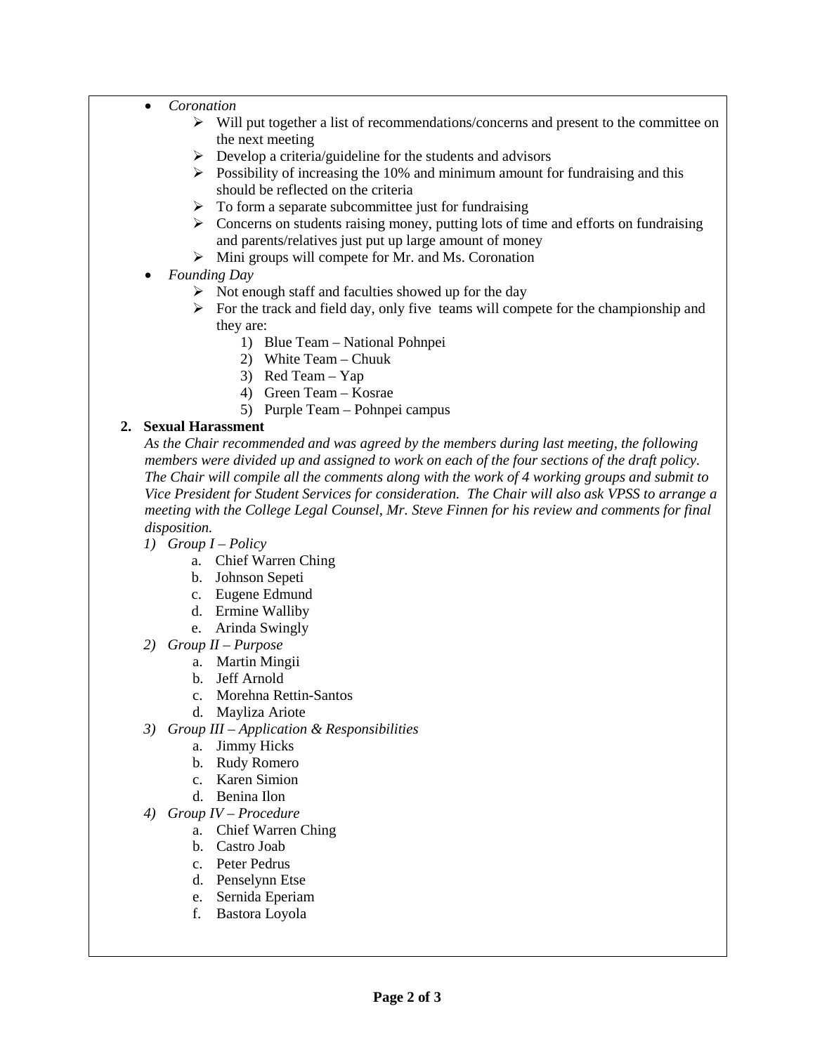- *Coronation* 
	- $\triangleright$  Will put together a list of recommendations/concerns and present to the committee on the next meeting
	- $\triangleright$  Develop a criteria/guideline for the students and advisors
	- $\triangleright$  Possibility of increasing the 10% and minimum amount for fundraising and this should be reflected on the criteria
	- $\triangleright$  To form a separate subcommittee just for fundraising
	- $\triangleright$  Concerns on students raising money, putting lots of time and efforts on fundraising and parents/relatives just put up large amount of money
	- $\triangleright$  Mini groups will compete for Mr. and Ms. Coronation
- *Founding Day*
	- $\triangleright$  Not enough staff and faculties showed up for the day
	- $\triangleright$  For the track and field day, only five teams will compete for the championship and they are:
		- 1) Blue Team National Pohnpei
		- 2) White Team Chuuk
		- 3) Red Team Yap
		- 4) Green Team Kosrae
		- 5) Purple Team Pohnpei campus

# **2. Sexual Harassment**

*As the Chair recommended and was agreed by the members during last meeting, the following members were divided up and assigned to work on each of the four sections of the draft policy. The Chair will compile all the comments along with the work of 4 working groups and submit to Vice President for Student Services for consideration. The Chair will also ask VPSS to arrange a meeting with the College Legal Counsel, Mr. Steve Finnen for his review and comments for final disposition.*

- *1) Group I – Policy*
	- a. Chief Warren Ching
	- b. Johnson Sepeti
	- c. Eugene Edmund
	- d. Ermine Walliby
	- e. Arinda Swingly
- *2) Group II – Purpose*
	- a. Martin Mingii
	- b. Jeff Arnold
	- c. Morehna Rettin-Santos
	- d. Mayliza Ariote
- *3) Group III – Application & Responsibilities*
	- a. Jimmy Hicks
	- b. Rudy Romero
	- c. Karen Simion
	- d. Benina Ilon
- *4) Group IV – Procedure*
	- a. Chief Warren Ching
	- b. Castro Joab
	- c. Peter Pedrus
	- d. Penselynn Etse
	- e. Sernida Eperiam
	- f. Bastora Loyola